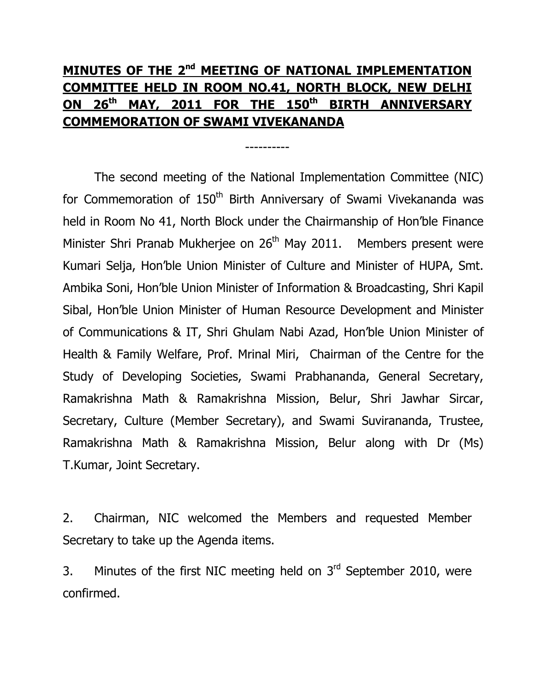# MINUTES OF THE 2<sup>nd</sup> MEETING OF NATIONAL IMPLEMENTATION COMMITTEE HELD IN ROOM NO.41, NORTH BLOCK, NEW DELHI ON 26<sup>th</sup> MAY, 2011 FOR THE 150<sup>th</sup> BIRTH ANNIVERSARY COMMEMORATION OF SWAMI VIVEKANANDA

----------

The second meeting of the National Implementation Committee (NIC) for Commemoration of 150<sup>th</sup> Birth Anniversary of Swami Vivekananda was held in Room No 41, North Block under the Chairmanship of Hon'ble Finance Minister Shri Pranab Mukherjee on 26<sup>th</sup> May 2011. Members present were Kumari Selja, Hon'ble Union Minister of Culture and Minister of HUPA, Smt. Ambika Soni, Hon'ble Union Minister of Information & Broadcasting, Shri Kapil Sibal, Hon'ble Union Minister of Human Resource Development and Minister of Communications & IT, Shri Ghulam Nabi Azad, Hon'ble Union Minister of Health & Family Welfare, Prof. Mrinal Miri, Chairman of the Centre for the Study of Developing Societies, Swami Prabhananda, General Secretary, Ramakrishna Math & Ramakrishna Mission, Belur, Shri Jawhar Sircar, Secretary, Culture (Member Secretary), and Swami Suvirananda, Trustee, Ramakrishna Math & Ramakrishna Mission, Belur along with Dr (Ms) T.Kumar, Joint Secretary.

2. Chairman, NIC welcomed the Members and requested Member Secretary to take up the Agenda items.

3. Minutes of the first NIC meeting held on  $3<sup>rd</sup>$  September 2010, were confirmed.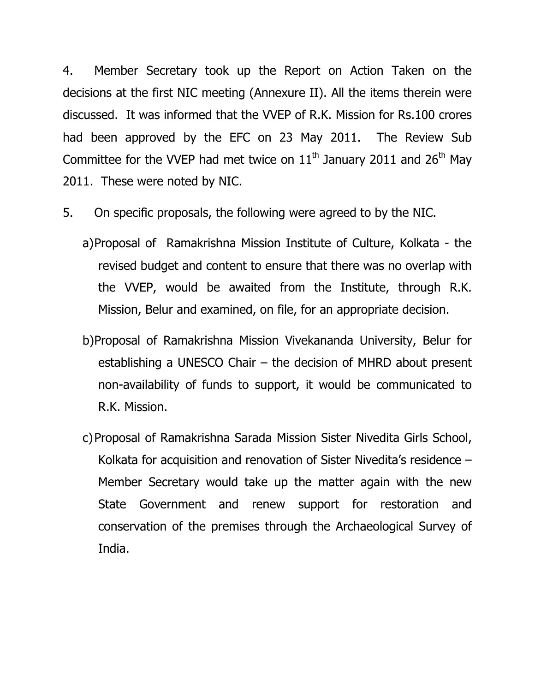4. Member Secretary took up the Report on Action Taken on the decisions at the first NIC meeting (Annexure II). All the items therein were discussed. It was informed that the VVEP of R.K. Mission for Rs.100 crores had been approved by the EFC on 23 May 2011. The Review Sub Committee for the VVEP had met twice on  $11<sup>th</sup>$  January 2011 and 26<sup>th</sup> May 2011. These were noted by NIC.

- 5. On specific proposals, the following were agreed to by the NIC.
	- a)Proposal of Ramakrishna Mission Institute of Culture, Kolkata the revised budget and content to ensure that there was no overlap with the VVEP, would be awaited from the Institute, through R.K. Mission, Belur and examined, on file, for an appropriate decision.
	- b)Proposal of Ramakrishna Mission Vivekananda University, Belur for establishing a UNESCO Chair – the decision of MHRD about present non-availability of funds to support, it would be communicated to R.K. Mission.
	- c)Proposal of Ramakrishna Sarada Mission Sister Nivedita Girls School, Kolkata for acquisition and renovation of Sister Nivedita's residence – Member Secretary would take up the matter again with the new State Government and renew support for restoration and conservation of the premises through the Archaeological Survey of India.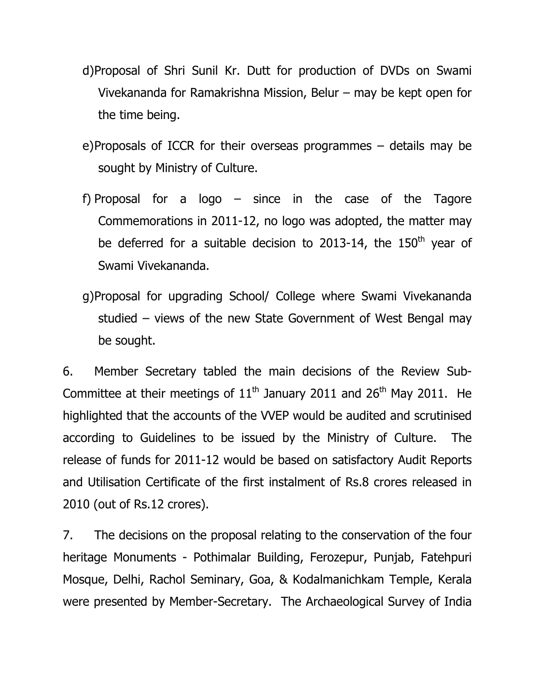- d)Proposal of Shri Sunil Kr. Dutt for production of DVDs on Swami Vivekananda for Ramakrishna Mission, Belur – may be kept open for the time being.
- e)Proposals of ICCR for their overseas programmes details may be sought by Ministry of Culture.
- f) Proposal for a logo  $-$  since in the case of the Tagore Commemorations in 2011-12, no logo was adopted, the matter may be deferred for a suitable decision to 2013-14, the  $150<sup>th</sup>$  year of Swami Vivekananda.
- g)Proposal for upgrading School/ College where Swami Vivekananda studied – views of the new State Government of West Bengal may be sought.

6. Member Secretary tabled the main decisions of the Review Sub-Committee at their meetings of  $11<sup>th</sup>$  January 2011 and 26<sup>th</sup> May 2011. He highlighted that the accounts of the VVEP would be audited and scrutinised according to Guidelines to be issued by the Ministry of Culture. The release of funds for 2011-12 would be based on satisfactory Audit Reports and Utilisation Certificate of the first instalment of Rs.8 crores released in 2010 (out of Rs.12 crores).

7. The decisions on the proposal relating to the conservation of the four heritage Monuments - Pothimalar Building, Ferozepur, Punjab, Fatehpuri Mosque, Delhi, Rachol Seminary, Goa, & Kodalmanichkam Temple, Kerala were presented by Member-Secretary. The Archaeological Survey of India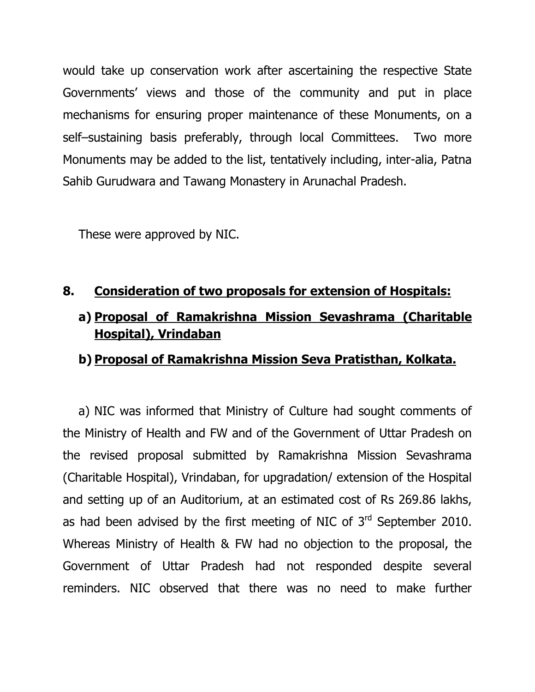would take up conservation work after ascertaining the respective State Governments' views and those of the community and put in place mechanisms for ensuring proper maintenance of these Monuments, on a self–sustaining basis preferably, through local Committees. Two more Monuments may be added to the list, tentatively including, inter-alia, Patna Sahib Gurudwara and Tawang Monastery in Arunachal Pradesh.

These were approved by NIC.

#### 8. Consideration of two proposals for extension of Hospitals:

## a) Proposal of Ramakrishna Mission Sevashrama (Charitable Hospital), Vrindaban

#### b) Proposal of Ramakrishna Mission Seva Pratisthan, Kolkata.

a) NIC was informed that Ministry of Culture had sought comments of the Ministry of Health and FW and of the Government of Uttar Pradesh on the revised proposal submitted by Ramakrishna Mission Sevashrama (Charitable Hospital), Vrindaban, for upgradation/ extension of the Hospital and setting up of an Auditorium, at an estimated cost of Rs 269.86 lakhs, as had been advised by the first meeting of NIC of  $3<sup>rd</sup>$  September 2010. Whereas Ministry of Health & FW had no objection to the proposal, the Government of Uttar Pradesh had not responded despite several reminders. NIC observed that there was no need to make further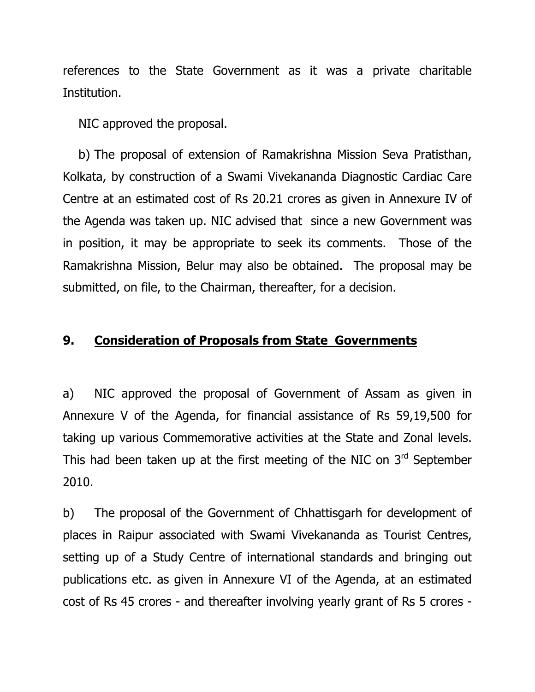references to the State Government as it was a private charitable Institution.

NIC approved the proposal.

b) The proposal of extension of Ramakrishna Mission Seva Pratisthan, Kolkata, by construction of a Swami Vivekananda Diagnostic Cardiac Care Centre at an estimated cost of Rs 20.21 crores as given in Annexure IV of the Agenda was taken up. NIC advised that since a new Government was in position, it may be appropriate to seek its comments. Those of the Ramakrishna Mission, Belur may also be obtained. The proposal may be submitted, on file, to the Chairman, thereafter, for a decision.

#### 9. Consideration of Proposals from State Governments

a) NIC approved the proposal of Government of Assam as given in Annexure V of the Agenda, for financial assistance of Rs 59,19,500 for taking up various Commemorative activities at the State and Zonal levels. This had been taken up at the first meeting of the NIC on  $3<sup>rd</sup>$  September 2010.

b) The proposal of the Government of Chhattisgarh for development of places in Raipur associated with Swami Vivekananda as Tourist Centres, setting up of a Study Centre of international standards and bringing out publications etc. as given in Annexure VI of the Agenda, at an estimated cost of Rs 45 crores - and thereafter involving yearly grant of Rs 5 crores -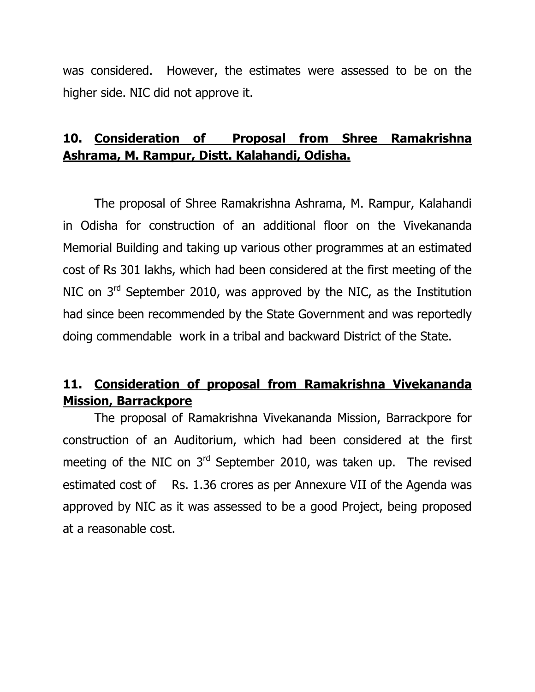was considered. However, the estimates were assessed to be on the higher side. NIC did not approve it.

## 10. Consideration of Proposal from Shree Ramakrishna Ashrama, M. Rampur, Distt. Kalahandi, Odisha.

The proposal of Shree Ramakrishna Ashrama, M. Rampur, Kalahandi in Odisha for construction of an additional floor on the Vivekananda Memorial Building and taking up various other programmes at an estimated cost of Rs 301 lakhs, which had been considered at the first meeting of the NIC on 3<sup>rd</sup> September 2010, was approved by the NIC, as the Institution had since been recommended by the State Government and was reportedly doing commendable work in a tribal and backward District of the State.

### 11. Consideration of proposal from Ramakrishna Vivekananda Mission, Barrackpore

The proposal of Ramakrishna Vivekananda Mission, Barrackpore for construction of an Auditorium, which had been considered at the first meeting of the NIC on  $3<sup>rd</sup>$  September 2010, was taken up. The revised estimated cost of Rs. 1.36 crores as per Annexure VII of the Agenda was approved by NIC as it was assessed to be a good Project, being proposed at a reasonable cost.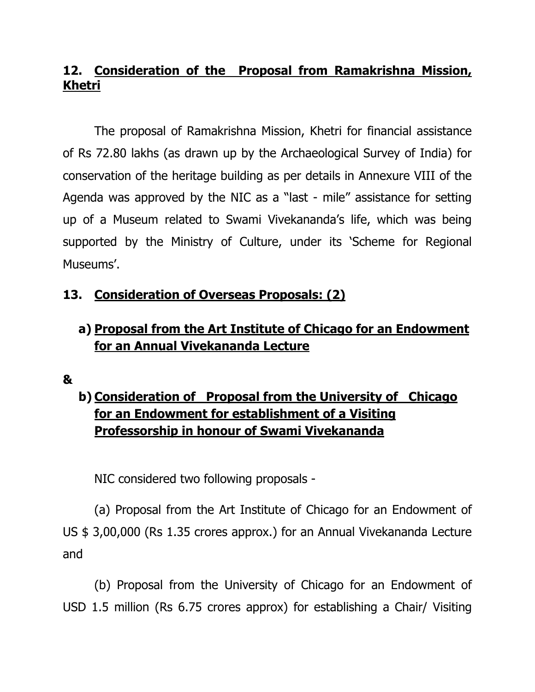## 12. Consideration of the Proposal from Ramakrishna Mission, Khetri

The proposal of Ramakrishna Mission, Khetri for financial assistance of Rs 72.80 lakhs (as drawn up by the Archaeological Survey of India) for conservation of the heritage building as per details in Annexure VIII of the Agenda was approved by the NIC as a "last - mile" assistance for setting up of a Museum related to Swami Vivekananda's life, which was being supported by the Ministry of Culture, under its 'Scheme for Regional Museums'.

## 13. Consideration of Overseas Proposals: (2)

## a) Proposal from the Art Institute of Chicago for an Endowment for an Annual Vivekananda Lecture

#### &

# b) Consideration of Proposal from the University of Chicago for an Endowment for establishment of a Visiting Professorship in honour of Swami Vivekananda

NIC considered two following proposals -

(a) Proposal from the Art Institute of Chicago for an Endowment of US \$ 3,00,000 (Rs 1.35 crores approx.) for an Annual Vivekananda Lecture and

(b) Proposal from the University of Chicago for an Endowment of USD 1.5 million (Rs 6.75 crores approx) for establishing a Chair/ Visiting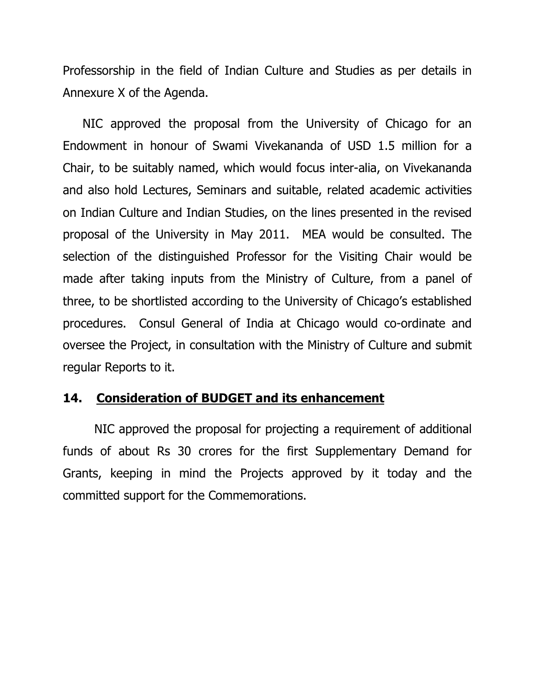Professorship in the field of Indian Culture and Studies as per details in Annexure X of the Agenda.

NIC approved the proposal from the University of Chicago for an Endowment in honour of Swami Vivekananda of USD 1.5 million for a Chair, to be suitably named, which would focus inter-alia, on Vivekananda and also hold Lectures, Seminars and suitable, related academic activities on Indian Culture and Indian Studies, on the lines presented in the revised proposal of the University in May 2011. MEA would be consulted. The selection of the distinguished Professor for the Visiting Chair would be made after taking inputs from the Ministry of Culture, from a panel of three, to be shortlisted according to the University of Chicago's established procedures. Consul General of India at Chicago would co-ordinate and oversee the Project, in consultation with the Ministry of Culture and submit regular Reports to it.

#### 14. Consideration of BUDGET and its enhancement

NIC approved the proposal for projecting a requirement of additional funds of about Rs 30 crores for the first Supplementary Demand for Grants, keeping in mind the Projects approved by it today and the committed support for the Commemorations.